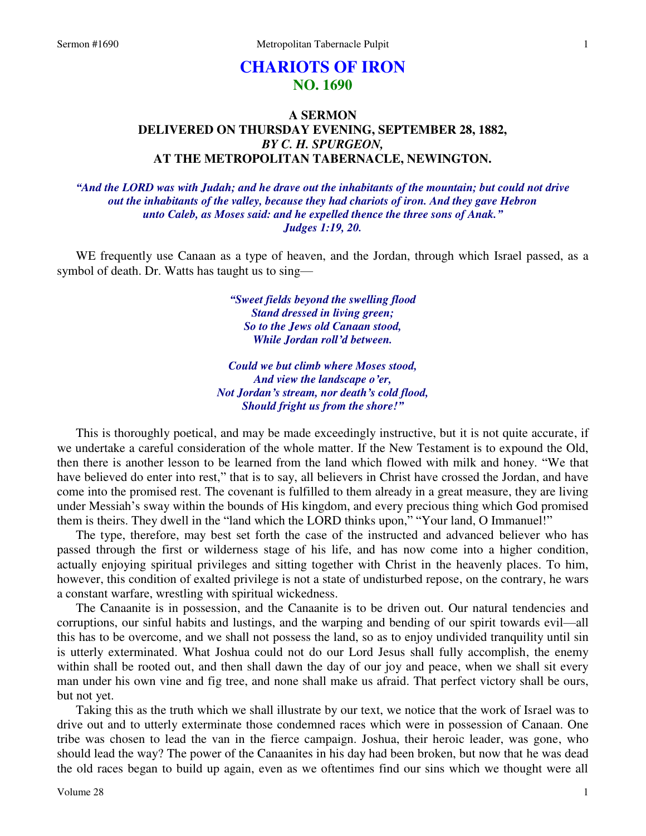# **CHARIOTS OF IRON NO. 1690**

## **A SERMON DELIVERED ON THURSDAY EVENING, SEPTEMBER 28, 1882,**  *BY C. H. SPURGEON,*  **AT THE METROPOLITAN TABERNACLE, NEWINGTON.**

*"And the LORD was with Judah; and he drave out the inhabitants of the mountain; but could not drive out the inhabitants of the valley, because they had chariots of iron. And they gave Hebron unto Caleb, as Moses said: and he expelled thence the three sons of Anak." Judges 1:19, 20.* 

WE frequently use Canaan as a type of heaven, and the Jordan, through which Israel passed, as a symbol of death. Dr. Watts has taught us to sing—

> *"Sweet fields beyond the swelling flood Stand dressed in living green; So to the Jews old Canaan stood, While Jordan roll'd between.*

*Could we but climb where Moses stood, And view the landscape o'er, Not Jordan's stream, nor death's cold flood, Should fright us from the shore!"*

 This is thoroughly poetical, and may be made exceedingly instructive, but it is not quite accurate, if we undertake a careful consideration of the whole matter. If the New Testament is to expound the Old, then there is another lesson to be learned from the land which flowed with milk and honey. "We that have believed do enter into rest," that is to say, all believers in Christ have crossed the Jordan, and have come into the promised rest. The covenant is fulfilled to them already in a great measure, they are living under Messiah's sway within the bounds of His kingdom, and every precious thing which God promised them is theirs. They dwell in the "land which the LORD thinks upon," "Your land, O Immanuel!"

 The type, therefore, may best set forth the case of the instructed and advanced believer who has passed through the first or wilderness stage of his life, and has now come into a higher condition, actually enjoying spiritual privileges and sitting together with Christ in the heavenly places. To him, however, this condition of exalted privilege is not a state of undisturbed repose, on the contrary, he wars a constant warfare, wrestling with spiritual wickedness.

 The Canaanite is in possession, and the Canaanite is to be driven out. Our natural tendencies and corruptions, our sinful habits and lustings, and the warping and bending of our spirit towards evil—all this has to be overcome, and we shall not possess the land, so as to enjoy undivided tranquility until sin is utterly exterminated. What Joshua could not do our Lord Jesus shall fully accomplish, the enemy within shall be rooted out, and then shall dawn the day of our joy and peace, when we shall sit every man under his own vine and fig tree, and none shall make us afraid. That perfect victory shall be ours, but not yet.

 Taking this as the truth which we shall illustrate by our text, we notice that the work of Israel was to drive out and to utterly exterminate those condemned races which were in possession of Canaan. One tribe was chosen to lead the van in the fierce campaign. Joshua, their heroic leader, was gone, who should lead the way? The power of the Canaanites in his day had been broken, but now that he was dead the old races began to build up again, even as we oftentimes find our sins which we thought were all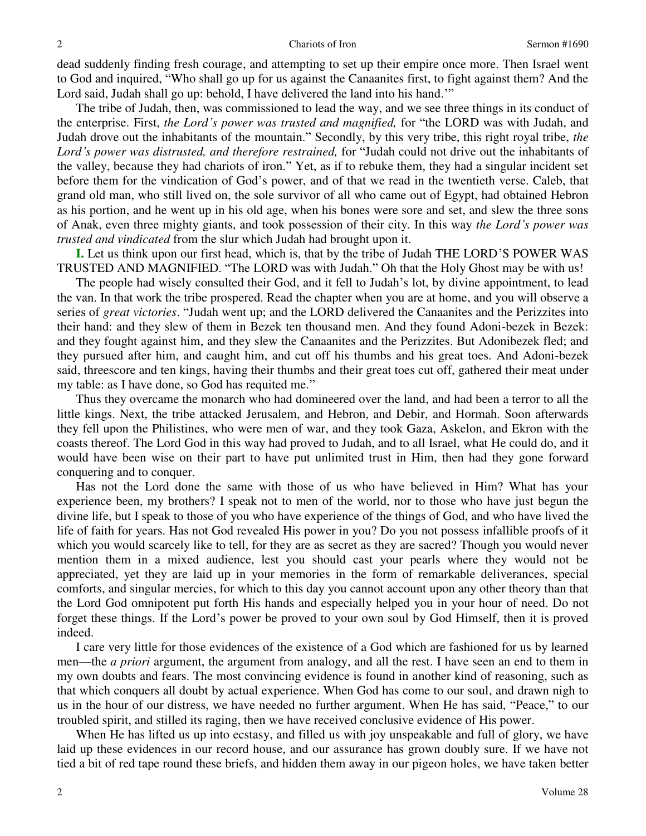dead suddenly finding fresh courage, and attempting to set up their empire once more. Then Israel went to God and inquired, "Who shall go up for us against the Canaanites first, to fight against them? And the Lord said, Judah shall go up: behold, I have delivered the land into his hand."

 The tribe of Judah, then, was commissioned to lead the way, and we see three things in its conduct of the enterprise. First, *the Lord's power was trusted and magnified,* for "the LORD was with Judah, and Judah drove out the inhabitants of the mountain." Secondly, by this very tribe, this right royal tribe, *the Lord's power was distrusted, and therefore restrained,* for "Judah could not drive out the inhabitants of the valley, because they had chariots of iron." Yet, as if to rebuke them, they had a singular incident set before them for the vindication of God's power, and of that we read in the twentieth verse. Caleb, that grand old man, who still lived on, the sole survivor of all who came out of Egypt, had obtained Hebron as his portion, and he went up in his old age, when his bones were sore and set, and slew the three sons of Anak, even three mighty giants, and took possession of their city. In this way *the Lord's power was trusted and vindicated* from the slur which Judah had brought upon it.

**I.** Let us think upon our first head, which is, that by the tribe of Judah THE LORD'S POWER WAS TRUSTED AND MAGNIFIED. "The LORD was with Judah." Oh that the Holy Ghost may be with us!

 The people had wisely consulted their God, and it fell to Judah's lot, by divine appointment, to lead the van. In that work the tribe prospered. Read the chapter when you are at home, and you will observe a series of *great victories*. "Judah went up; and the LORD delivered the Canaanites and the Perizzites into their hand: and they slew of them in Bezek ten thousand men. And they found Adoni-bezek in Bezek: and they fought against him, and they slew the Canaanites and the Perizzites. But Adonibezek fled; and they pursued after him, and caught him, and cut off his thumbs and his great toes. And Adoni-bezek said, threescore and ten kings, having their thumbs and their great toes cut off, gathered their meat under my table: as I have done, so God has requited me."

 Thus they overcame the monarch who had domineered over the land, and had been a terror to all the little kings. Next, the tribe attacked Jerusalem, and Hebron, and Debir, and Hormah. Soon afterwards they fell upon the Philistines, who were men of war, and they took Gaza, Askelon, and Ekron with the coasts thereof. The Lord God in this way had proved to Judah, and to all Israel, what He could do, and it would have been wise on their part to have put unlimited trust in Him, then had they gone forward conquering and to conquer.

 Has not the Lord done the same with those of us who have believed in Him? What has your experience been, my brothers? I speak not to men of the world, nor to those who have just begun the divine life, but I speak to those of you who have experience of the things of God, and who have lived the life of faith for years. Has not God revealed His power in you? Do you not possess infallible proofs of it which you would scarcely like to tell, for they are as secret as they are sacred? Though you would never mention them in a mixed audience, lest you should cast your pearls where they would not be appreciated, yet they are laid up in your memories in the form of remarkable deliverances, special comforts, and singular mercies, for which to this day you cannot account upon any other theory than that the Lord God omnipotent put forth His hands and especially helped you in your hour of need. Do not forget these things. If the Lord's power be proved to your own soul by God Himself, then it is proved indeed.

 I care very little for those evidences of the existence of a God which are fashioned for us by learned men—the *a priori* argument, the argument from analogy, and all the rest. I have seen an end to them in my own doubts and fears. The most convincing evidence is found in another kind of reasoning, such as that which conquers all doubt by actual experience. When God has come to our soul, and drawn nigh to us in the hour of our distress, we have needed no further argument. When He has said, "Peace," to our troubled spirit, and stilled its raging, then we have received conclusive evidence of His power.

 When He has lifted us up into ecstasy, and filled us with joy unspeakable and full of glory, we have laid up these evidences in our record house, and our assurance has grown doubly sure. If we have not tied a bit of red tape round these briefs, and hidden them away in our pigeon holes, we have taken better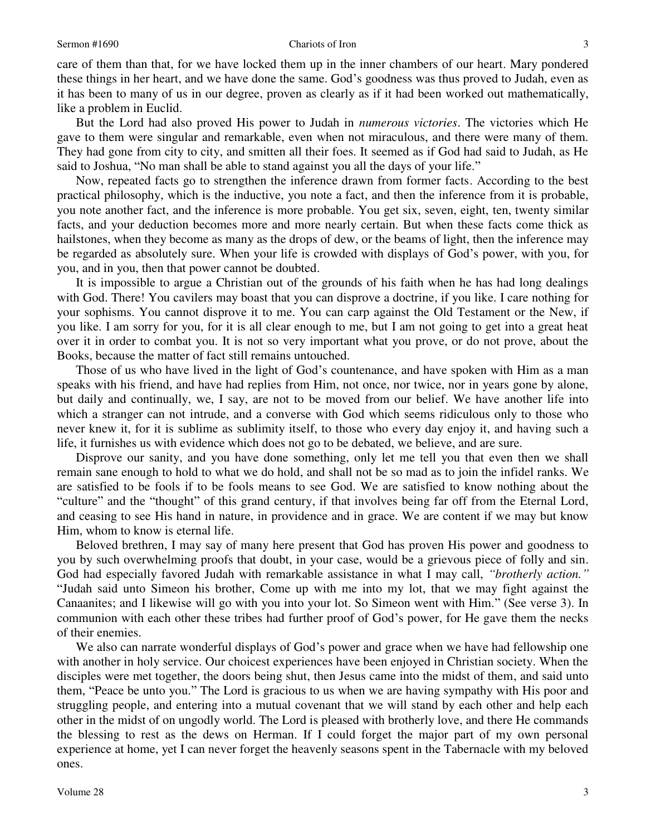### Sermon #1690 Chariots of Iron 3

care of them than that, for we have locked them up in the inner chambers of our heart. Mary pondered these things in her heart, and we have done the same. God's goodness was thus proved to Judah, even as it has been to many of us in our degree, proven as clearly as if it had been worked out mathematically, like a problem in Euclid.

 But the Lord had also proved His power to Judah in *numerous victories*. The victories which He gave to them were singular and remarkable, even when not miraculous, and there were many of them. They had gone from city to city, and smitten all their foes. It seemed as if God had said to Judah, as He said to Joshua, "No man shall be able to stand against you all the days of your life."

 Now, repeated facts go to strengthen the inference drawn from former facts. According to the best practical philosophy, which is the inductive, you note a fact, and then the inference from it is probable, you note another fact, and the inference is more probable. You get six, seven, eight, ten, twenty similar facts, and your deduction becomes more and more nearly certain. But when these facts come thick as hailstones, when they become as many as the drops of dew, or the beams of light, then the inference may be regarded as absolutely sure. When your life is crowded with displays of God's power, with you, for you, and in you, then that power cannot be doubted.

 It is impossible to argue a Christian out of the grounds of his faith when he has had long dealings with God. There! You cavilers may boast that you can disprove a doctrine, if you like. I care nothing for your sophisms. You cannot disprove it to me. You can carp against the Old Testament or the New, if you like. I am sorry for you, for it is all clear enough to me, but I am not going to get into a great heat over it in order to combat you. It is not so very important what you prove, or do not prove, about the Books, because the matter of fact still remains untouched.

 Those of us who have lived in the light of God's countenance, and have spoken with Him as a man speaks with his friend, and have had replies from Him, not once, nor twice, nor in years gone by alone, but daily and continually, we, I say, are not to be moved from our belief. We have another life into which a stranger can not intrude, and a converse with God which seems ridiculous only to those who never knew it, for it is sublime as sublimity itself, to those who every day enjoy it, and having such a life, it furnishes us with evidence which does not go to be debated, we believe, and are sure.

 Disprove our sanity, and you have done something, only let me tell you that even then we shall remain sane enough to hold to what we do hold, and shall not be so mad as to join the infidel ranks. We are satisfied to be fools if to be fools means to see God. We are satisfied to know nothing about the "culture" and the "thought" of this grand century, if that involves being far off from the Eternal Lord, and ceasing to see His hand in nature, in providence and in grace. We are content if we may but know Him, whom to know is eternal life.

 Beloved brethren, I may say of many here present that God has proven His power and goodness to you by such overwhelming proofs that doubt, in your case, would be a grievous piece of folly and sin. God had especially favored Judah with remarkable assistance in what I may call, *"brotherly action."* "Judah said unto Simeon his brother, Come up with me into my lot, that we may fight against the Canaanites; and I likewise will go with you into your lot. So Simeon went with Him." (See verse 3). In communion with each other these tribes had further proof of God's power, for He gave them the necks of their enemies.

 We also can narrate wonderful displays of God's power and grace when we have had fellowship one with another in holy service. Our choicest experiences have been enjoyed in Christian society. When the disciples were met together, the doors being shut, then Jesus came into the midst of them, and said unto them, "Peace be unto you." The Lord is gracious to us when we are having sympathy with His poor and struggling people, and entering into a mutual covenant that we will stand by each other and help each other in the midst of on ungodly world. The Lord is pleased with brotherly love, and there He commands the blessing to rest as the dews on Herman. If I could forget the major part of my own personal experience at home, yet I can never forget the heavenly seasons spent in the Tabernacle with my beloved ones.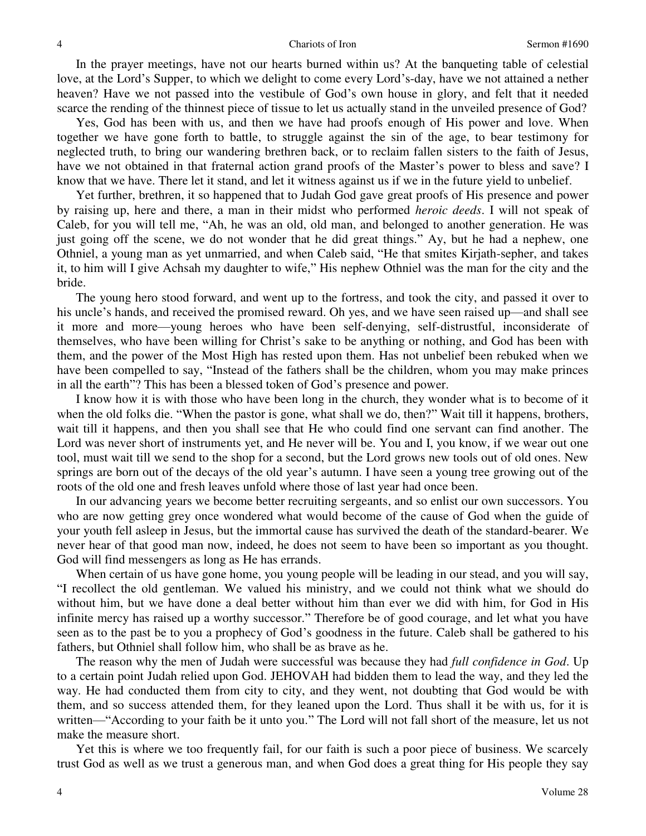In the prayer meetings, have not our hearts burned within us? At the banqueting table of celestial love, at the Lord's Supper, to which we delight to come every Lord's-day, have we not attained a nether heaven? Have we not passed into the vestibule of God's own house in glory, and felt that it needed scarce the rending of the thinnest piece of tissue to let us actually stand in the unveiled presence of God?

 Yes, God has been with us, and then we have had proofs enough of His power and love. When together we have gone forth to battle, to struggle against the sin of the age, to bear testimony for neglected truth, to bring our wandering brethren back, or to reclaim fallen sisters to the faith of Jesus, have we not obtained in that fraternal action grand proofs of the Master's power to bless and save? I know that we have. There let it stand, and let it witness against us if we in the future yield to unbelief.

 Yet further, brethren, it so happened that to Judah God gave great proofs of His presence and power by raising up, here and there, a man in their midst who performed *heroic deeds*. I will not speak of Caleb, for you will tell me, "Ah, he was an old, old man, and belonged to another generation. He was just going off the scene, we do not wonder that he did great things." Ay, but he had a nephew, one Othniel, a young man as yet unmarried, and when Caleb said, "He that smites Kirjath-sepher, and takes it, to him will I give Achsah my daughter to wife," His nephew Othniel was the man for the city and the bride.

 The young hero stood forward, and went up to the fortress, and took the city, and passed it over to his uncle's hands, and received the promised reward. Oh yes, and we have seen raised up—and shall see it more and more—young heroes who have been self-denying, self-distrustful, inconsiderate of themselves, who have been willing for Christ's sake to be anything or nothing, and God has been with them, and the power of the Most High has rested upon them. Has not unbelief been rebuked when we have been compelled to say, "Instead of the fathers shall be the children, whom you may make princes in all the earth"? This has been a blessed token of God's presence and power.

 I know how it is with those who have been long in the church, they wonder what is to become of it when the old folks die. "When the pastor is gone, what shall we do, then?" Wait till it happens, brothers, wait till it happens, and then you shall see that He who could find one servant can find another. The Lord was never short of instruments yet, and He never will be. You and I, you know, if we wear out one tool, must wait till we send to the shop for a second, but the Lord grows new tools out of old ones. New springs are born out of the decays of the old year's autumn. I have seen a young tree growing out of the roots of the old one and fresh leaves unfold where those of last year had once been.

 In our advancing years we become better recruiting sergeants, and so enlist our own successors. You who are now getting grey once wondered what would become of the cause of God when the guide of your youth fell asleep in Jesus, but the immortal cause has survived the death of the standard-bearer. We never hear of that good man now, indeed, he does not seem to have been so important as you thought. God will find messengers as long as He has errands.

 When certain of us have gone home, you young people will be leading in our stead, and you will say, "I recollect the old gentleman. We valued his ministry, and we could not think what we should do without him, but we have done a deal better without him than ever we did with him, for God in His infinite mercy has raised up a worthy successor." Therefore be of good courage, and let what you have seen as to the past be to you a prophecy of God's goodness in the future. Caleb shall be gathered to his fathers, but Othniel shall follow him, who shall be as brave as he.

 The reason why the men of Judah were successful was because they had *full confidence in God*. Up to a certain point Judah relied upon God. JEHOVAH had bidden them to lead the way, and they led the way. He had conducted them from city to city, and they went, not doubting that God would be with them, and so success attended them, for they leaned upon the Lord. Thus shall it be with us, for it is written—"According to your faith be it unto you." The Lord will not fall short of the measure, let us not make the measure short.

 Yet this is where we too frequently fail, for our faith is such a poor piece of business. We scarcely trust God as well as we trust a generous man, and when God does a great thing for His people they say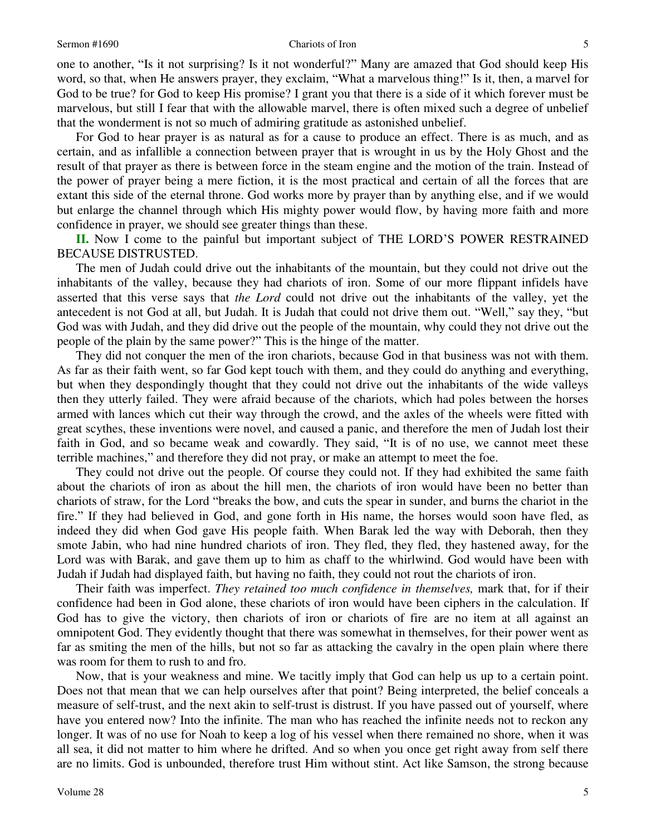#### Sermon #1690 Sermon #1690 Sermon #1690 Sermon #1690 Sermon #1690 S

one to another, "Is it not surprising? Is it not wonderful?" Many are amazed that God should keep His word, so that, when He answers prayer, they exclaim, "What a marvelous thing!" Is it, then, a marvel for God to be true? for God to keep His promise? I grant you that there is a side of it which forever must be marvelous, but still I fear that with the allowable marvel, there is often mixed such a degree of unbelief that the wonderment is not so much of admiring gratitude as astonished unbelief.

 For God to hear prayer is as natural as for a cause to produce an effect. There is as much, and as certain, and as infallible a connection between prayer that is wrought in us by the Holy Ghost and the result of that prayer as there is between force in the steam engine and the motion of the train. Instead of the power of prayer being a mere fiction, it is the most practical and certain of all the forces that are extant this side of the eternal throne. God works more by prayer than by anything else, and if we would but enlarge the channel through which His mighty power would flow, by having more faith and more confidence in prayer, we should see greater things than these.

**II.** Now I come to the painful but important subject of THE LORD'S POWER RESTRAINED BECAUSE DISTRUSTED.

 The men of Judah could drive out the inhabitants of the mountain, but they could not drive out the inhabitants of the valley, because they had chariots of iron. Some of our more flippant infidels have asserted that this verse says that *the Lord* could not drive out the inhabitants of the valley, yet the antecedent is not God at all, but Judah. It is Judah that could not drive them out. "Well," say they, "but God was with Judah, and they did drive out the people of the mountain, why could they not drive out the people of the plain by the same power?" This is the hinge of the matter.

 They did not conquer the men of the iron chariots, because God in that business was not with them. As far as their faith went, so far God kept touch with them, and they could do anything and everything, but when they despondingly thought that they could not drive out the inhabitants of the wide valleys then they utterly failed. They were afraid because of the chariots, which had poles between the horses armed with lances which cut their way through the crowd, and the axles of the wheels were fitted with great scythes, these inventions were novel, and caused a panic, and therefore the men of Judah lost their faith in God, and so became weak and cowardly. They said, "It is of no use, we cannot meet these terrible machines," and therefore they did not pray, or make an attempt to meet the foe.

 They could not drive out the people. Of course they could not. If they had exhibited the same faith about the chariots of iron as about the hill men, the chariots of iron would have been no better than chariots of straw, for the Lord "breaks the bow, and cuts the spear in sunder, and burns the chariot in the fire." If they had believed in God, and gone forth in His name, the horses would soon have fled, as indeed they did when God gave His people faith. When Barak led the way with Deborah, then they smote Jabin, who had nine hundred chariots of iron. They fled, they fled, they hastened away, for the Lord was with Barak, and gave them up to him as chaff to the whirlwind. God would have been with Judah if Judah had displayed faith, but having no faith, they could not rout the chariots of iron.

 Their faith was imperfect. *They retained too much confidence in themselves,* mark that, for if their confidence had been in God alone, these chariots of iron would have been ciphers in the calculation. If God has to give the victory, then chariots of iron or chariots of fire are no item at all against an omnipotent God. They evidently thought that there was somewhat in themselves, for their power went as far as smiting the men of the hills, but not so far as attacking the cavalry in the open plain where there was room for them to rush to and fro.

 Now, that is your weakness and mine. We tacitly imply that God can help us up to a certain point. Does not that mean that we can help ourselves after that point? Being interpreted, the belief conceals a measure of self-trust, and the next akin to self-trust is distrust. If you have passed out of yourself, where have you entered now? Into the infinite. The man who has reached the infinite needs not to reckon any longer. It was of no use for Noah to keep a log of his vessel when there remained no shore, when it was all sea, it did not matter to him where he drifted. And so when you once get right away from self there are no limits. God is unbounded, therefore trust Him without stint. Act like Samson, the strong because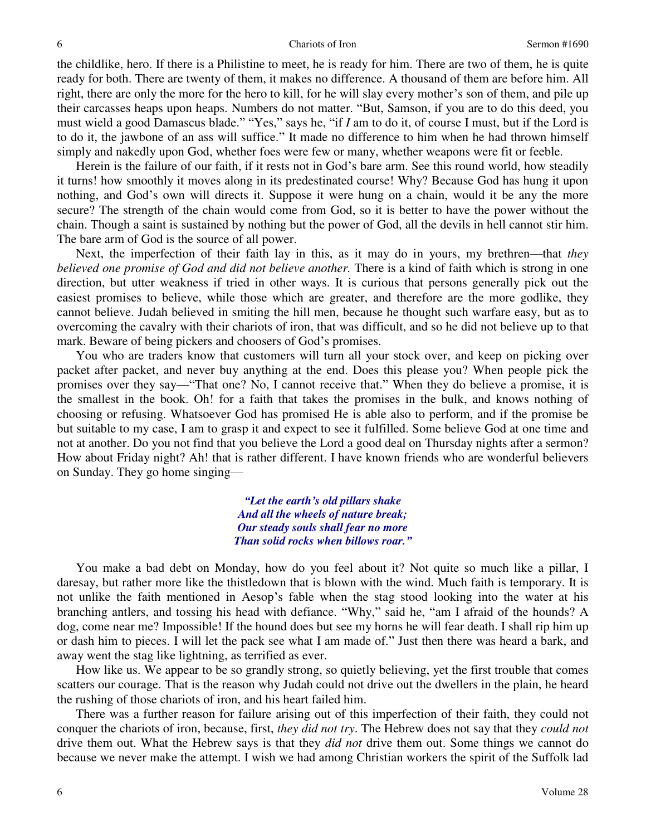the childlike, hero. If there is a Philistine to meet, he is ready for him. There are two of them, he is quite ready for both. There are twenty of them, it makes no difference. A thousand of them are before him. All right, there are only the more for the hero to kill, for he will slay every mother's son of them, and pile up their carcasses heaps upon heaps. Numbers do not matter. "But, Samson, if you are to do this deed, you must wield a good Damascus blade." "Yes," says he, "if *I* am to do it, of course I must, but if the Lord is to do it, the jawbone of an ass will suffice." It made no difference to him when he had thrown himself simply and nakedly upon God, whether foes were few or many, whether weapons were fit or feeble.

 Herein is the failure of our faith, if it rests not in God's bare arm. See this round world, how steadily it turns! how smoothly it moves along in its predestinated course! Why? Because God has hung it upon nothing, and God's own will directs it. Suppose it were hung on a chain, would it be any the more secure? The strength of the chain would come from God, so it is better to have the power without the chain. Though a saint is sustained by nothing but the power of God, all the devils in hell cannot stir him. The bare arm of God is the source of all power.

 Next, the imperfection of their faith lay in this, as it may do in yours, my brethren—that *they believed one promise of God and did not believe another.* There is a kind of faith which is strong in one direction, but utter weakness if tried in other ways. It is curious that persons generally pick out the easiest promises to believe, while those which are greater, and therefore are the more godlike, they cannot believe. Judah believed in smiting the hill men, because he thought such warfare easy, but as to overcoming the cavalry with their chariots of iron, that was difficult, and so he did not believe up to that mark. Beware of being pickers and choosers of God's promises.

 You who are traders know that customers will turn all your stock over, and keep on picking over packet after packet, and never buy anything at the end. Does this please you? When people pick the promises over they say—"That one? No, I cannot receive that." When they do believe a promise, it is the smallest in the book. Oh! for a faith that takes the promises in the bulk, and knows nothing of choosing or refusing. Whatsoever God has promised He is able also to perform, and if the promise be but suitable to my case, I am to grasp it and expect to see it fulfilled. Some believe God at one time and not at another. Do you not find that you believe the Lord a good deal on Thursday nights after a sermon? How about Friday night? Ah! that is rather different. I have known friends who are wonderful believers on Sunday. They go home singing—

> *"Let the earth's old pillars shake And all the wheels of nature break; Our steady souls shall fear no more Than solid rocks when billows roar."*

 You make a bad debt on Monday, how do you feel about it? Not quite so much like a pillar, I daresay, but rather more like the thistledown that is blown with the wind. Much faith is temporary. It is not unlike the faith mentioned in Aesop's fable when the stag stood looking into the water at his branching antlers, and tossing his head with defiance. "Why," said he, "am I afraid of the hounds? A dog, come near me? Impossible! If the hound does but see my horns he will fear death. I shall rip him up or dash him to pieces. I will let the pack see what I am made of." Just then there was heard a bark, and away went the stag like lightning, as terrified as ever.

 How like us. We appear to be so grandly strong, so quietly believing, yet the first trouble that comes scatters our courage. That is the reason why Judah could not drive out the dwellers in the plain, he heard the rushing of those chariots of iron, and his heart failed him.

 There was a further reason for failure arising out of this imperfection of their faith, they could not conquer the chariots of iron, because, first, *they did not try*. The Hebrew does not say that they *could not* drive them out. What the Hebrew says is that they *did not* drive them out. Some things we cannot do because we never make the attempt. I wish we had among Christian workers the spirit of the Suffolk lad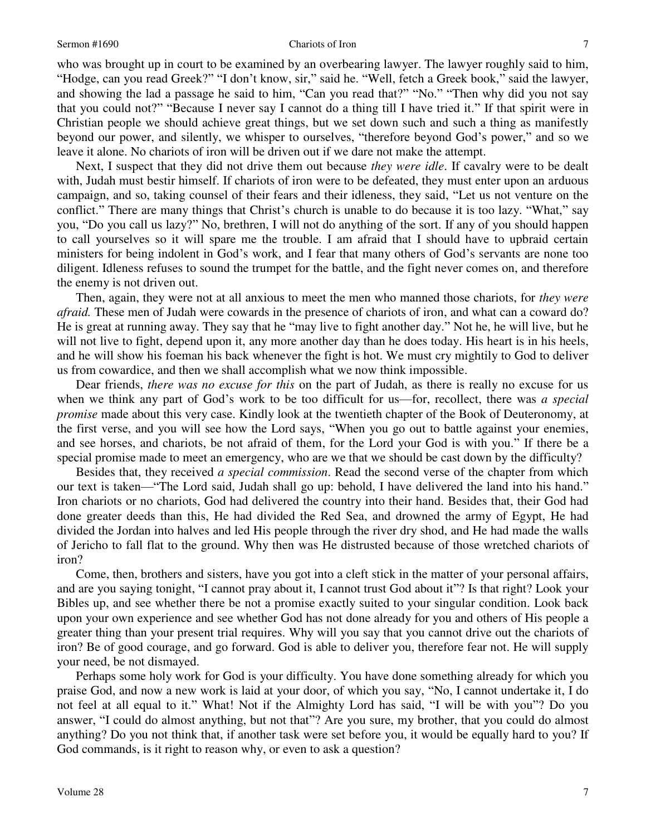#### Sermon #1690 **Chariots of Iron** 7

who was brought up in court to be examined by an overbearing lawyer. The lawyer roughly said to him, "Hodge, can you read Greek?" "I don't know, sir," said he. "Well, fetch a Greek book," said the lawyer, and showing the lad a passage he said to him, "Can you read that?" "No." "Then why did you not say that you could not?" "Because I never say I cannot do a thing till I have tried it." If that spirit were in Christian people we should achieve great things, but we set down such and such a thing as manifestly beyond our power, and silently, we whisper to ourselves, "therefore beyond God's power," and so we leave it alone. No chariots of iron will be driven out if we dare not make the attempt.

 Next, I suspect that they did not drive them out because *they were idle*. If cavalry were to be dealt with, Judah must bestir himself. If chariots of iron were to be defeated, they must enter upon an arduous campaign, and so, taking counsel of their fears and their idleness, they said, "Let us not venture on the conflict." There are many things that Christ's church is unable to do because it is too lazy. "What," say you, "Do you call us lazy?" No, brethren, I will not do anything of the sort. If any of you should happen to call yourselves so it will spare me the trouble. I am afraid that I should have to upbraid certain ministers for being indolent in God's work, and I fear that many others of God's servants are none too diligent. Idleness refuses to sound the trumpet for the battle, and the fight never comes on, and therefore the enemy is not driven out.

 Then, again, they were not at all anxious to meet the men who manned those chariots, for *they were afraid.* These men of Judah were cowards in the presence of chariots of iron, and what can a coward do? He is great at running away. They say that he "may live to fight another day." Not he, he will live, but he will not live to fight, depend upon it, any more another day than he does today. His heart is in his heels, and he will show his foeman his back whenever the fight is hot. We must cry mightily to God to deliver us from cowardice, and then we shall accomplish what we now think impossible.

 Dear friends, *there was no excuse for this* on the part of Judah, as there is really no excuse for us when we think any part of God's work to be too difficult for us—for, recollect, there was *a special promise* made about this very case. Kindly look at the twentieth chapter of the Book of Deuteronomy, at the first verse, and you will see how the Lord says, "When you go out to battle against your enemies, and see horses, and chariots, be not afraid of them, for the Lord your God is with you." If there be a special promise made to meet an emergency, who are we that we should be cast down by the difficulty?

 Besides that, they received *a special commission*. Read the second verse of the chapter from which our text is taken—"The Lord said, Judah shall go up: behold, I have delivered the land into his hand." Iron chariots or no chariots, God had delivered the country into their hand. Besides that, their God had done greater deeds than this, He had divided the Red Sea, and drowned the army of Egypt, He had divided the Jordan into halves and led His people through the river dry shod, and He had made the walls of Jericho to fall flat to the ground. Why then was He distrusted because of those wretched chariots of iron?

 Come, then, brothers and sisters, have you got into a cleft stick in the matter of your personal affairs, and are you saying tonight, "I cannot pray about it, I cannot trust God about it"? Is that right? Look your Bibles up, and see whether there be not a promise exactly suited to your singular condition. Look back upon your own experience and see whether God has not done already for you and others of His people a greater thing than your present trial requires. Why will you say that you cannot drive out the chariots of iron? Be of good courage, and go forward. God is able to deliver you, therefore fear not. He will supply your need, be not dismayed.

 Perhaps some holy work for God is your difficulty. You have done something already for which you praise God, and now a new work is laid at your door, of which you say, "No, I cannot undertake it, I do not feel at all equal to it." What! Not if the Almighty Lord has said, "I will be with you"? Do you answer, "I could do almost anything, but not that"? Are you sure, my brother, that you could do almost anything? Do you not think that, if another task were set before you, it would be equally hard to you? If God commands, is it right to reason why, or even to ask a question?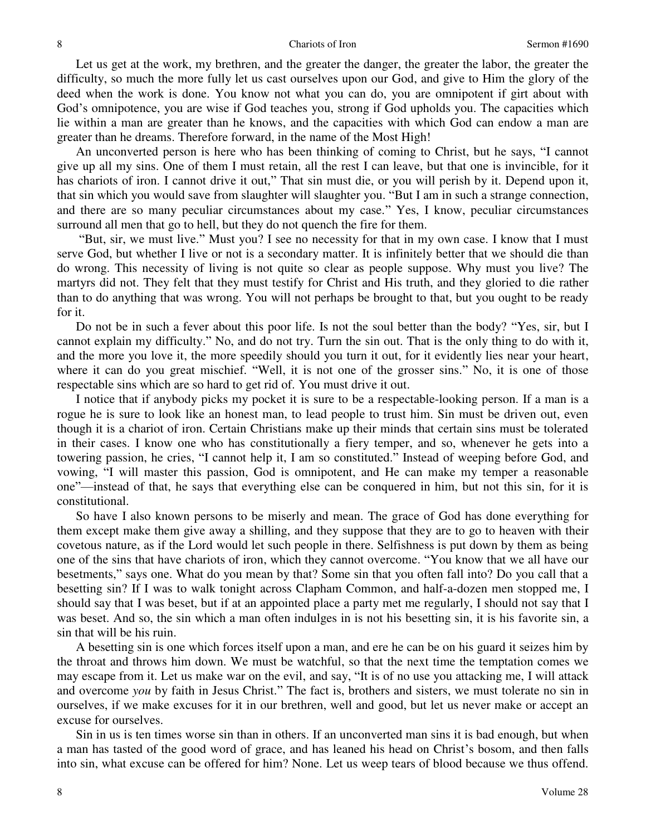Let us get at the work, my brethren, and the greater the danger, the greater the labor, the greater the difficulty, so much the more fully let us cast ourselves upon our God, and give to Him the glory of the deed when the work is done. You know not what you can do, you are omnipotent if girt about with God's omnipotence, you are wise if God teaches you, strong if God upholds you. The capacities which lie within a man are greater than he knows, and the capacities with which God can endow a man are greater than he dreams. Therefore forward, in the name of the Most High!

 An unconverted person is here who has been thinking of coming to Christ, but he says, "I cannot give up all my sins. One of them I must retain, all the rest I can leave, but that one is invincible, for it has chariots of iron. I cannot drive it out," That sin must die, or you will perish by it. Depend upon it, that sin which you would save from slaughter will slaughter you. "But I am in such a strange connection, and there are so many peculiar circumstances about my case." Yes, I know, peculiar circumstances surround all men that go to hell, but they do not quench the fire for them.

 "But, sir, we must live." Must you? I see no necessity for that in my own case. I know that I must serve God, but whether I live or not is a secondary matter. It is infinitely better that we should die than do wrong. This necessity of living is not quite so clear as people suppose. Why must you live? The martyrs did not. They felt that they must testify for Christ and His truth, and they gloried to die rather than to do anything that was wrong. You will not perhaps be brought to that, but you ought to be ready for it.

 Do not be in such a fever about this poor life. Is not the soul better than the body? "Yes, sir, but I cannot explain my difficulty." No, and do not try. Turn the sin out. That is the only thing to do with it, and the more you love it, the more speedily should you turn it out, for it evidently lies near your heart, where it can do you great mischief. "Well, it is not one of the grosser sins." No, it is one of those respectable sins which are so hard to get rid of. You must drive it out.

 I notice that if anybody picks my pocket it is sure to be a respectable-looking person. If a man is a rogue he is sure to look like an honest man, to lead people to trust him. Sin must be driven out, even though it is a chariot of iron. Certain Christians make up their minds that certain sins must be tolerated in their cases. I know one who has constitutionally a fiery temper, and so, whenever he gets into a towering passion, he cries, "I cannot help it, I am so constituted." Instead of weeping before God, and vowing, "I will master this passion, God is omnipotent, and He can make my temper a reasonable one"—instead of that, he says that everything else can be conquered in him, but not this sin, for it is constitutional.

 So have I also known persons to be miserly and mean. The grace of God has done everything for them except make them give away a shilling, and they suppose that they are to go to heaven with their covetous nature, as if the Lord would let such people in there. Selfishness is put down by them as being one of the sins that have chariots of iron, which they cannot overcome. "You know that we all have our besetments," says one. What do you mean by that? Some sin that you often fall into? Do you call that a besetting sin? If I was to walk tonight across Clapham Common, and half-a-dozen men stopped me, I should say that I was beset, but if at an appointed place a party met me regularly, I should not say that I was beset. And so, the sin which a man often indulges in is not his besetting sin, it is his favorite sin, a sin that will be his ruin.

 A besetting sin is one which forces itself upon a man, and ere he can be on his guard it seizes him by the throat and throws him down. We must be watchful, so that the next time the temptation comes we may escape from it. Let us make war on the evil, and say, "It is of no use you attacking me, I will attack and overcome *you* by faith in Jesus Christ." The fact is, brothers and sisters, we must tolerate no sin in ourselves, if we make excuses for it in our brethren, well and good, but let us never make or accept an excuse for ourselves.

 Sin in us is ten times worse sin than in others. If an unconverted man sins it is bad enough, but when a man has tasted of the good word of grace, and has leaned his head on Christ's bosom, and then falls into sin, what excuse can be offered for him? None. Let us weep tears of blood because we thus offend.